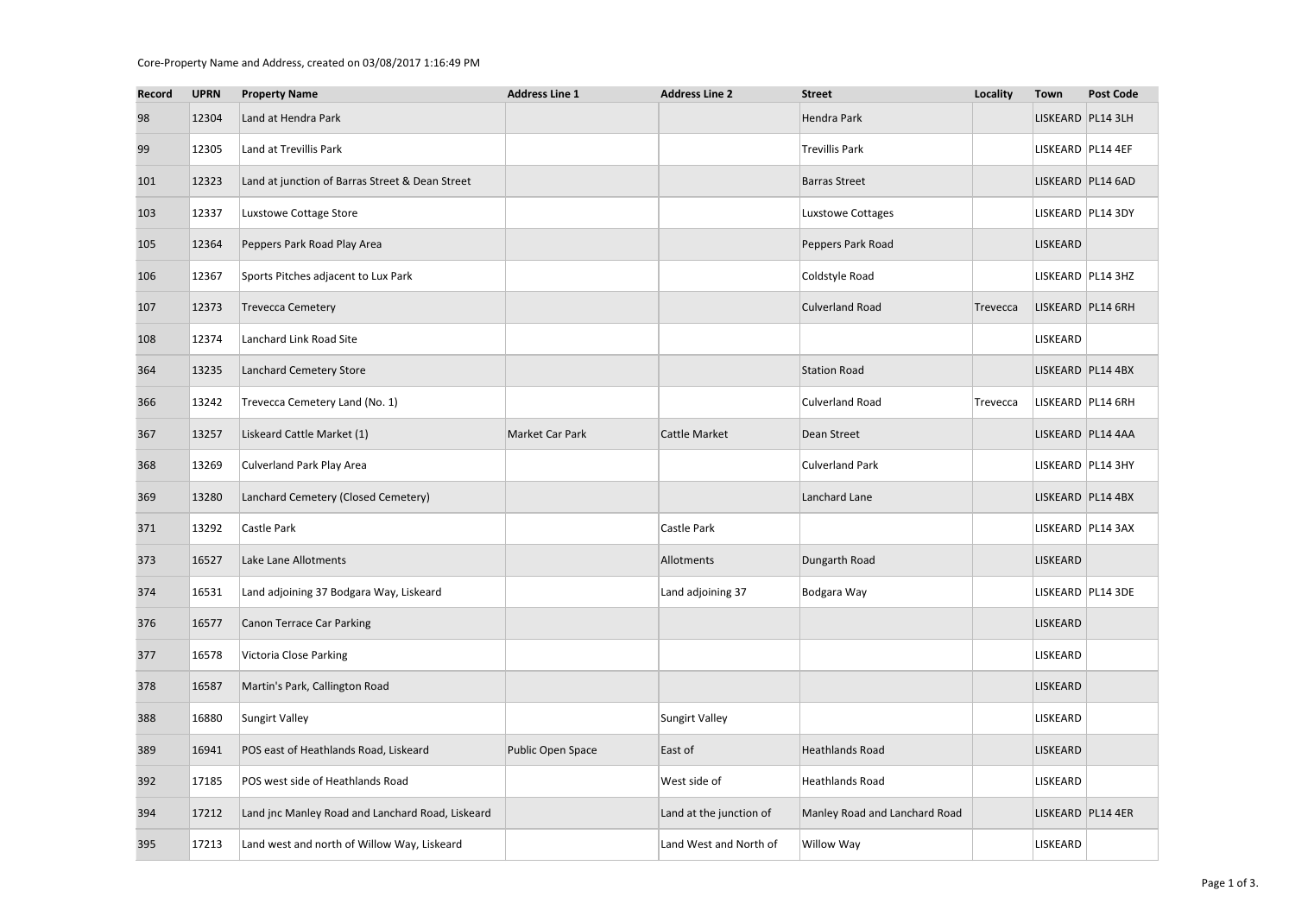## Core-Property Name and Address, created on 03/08/2017 1:16:49 PM

| <b>Record</b> | <b>UPRN</b> | <b>Property Name</b>                             | <b>Address Line 1</b> | <b>Address Line 2</b>   | <b>Street</b>                 | <b>Locality</b> | <b>Town</b>       | <b>Post Code</b>  |
|---------------|-------------|--------------------------------------------------|-----------------------|-------------------------|-------------------------------|-----------------|-------------------|-------------------|
| 98            | 12304       | Land at Hendra Park                              |                       |                         | Hendra Park                   |                 | LISKEARD PL14 3LH |                   |
| 99            | 12305       | Land at Trevillis Park                           |                       |                         | <b>Trevillis Park</b>         |                 | LISKEARD PL14 4EF |                   |
| 101           | 12323       | Land at junction of Barras Street & Dean Street  |                       |                         | <b>Barras Street</b>          |                 |                   | LISKEARD PL14 6AD |
| 103           | 12337       | Luxstowe Cottage Store                           |                       |                         | Luxstowe Cottages             |                 | LISKEARD PL14 3DY |                   |
| 105           | 12364       | Peppers Park Road Play Area                      |                       |                         | Peppers Park Road             |                 | LISKEARD          |                   |
| 106           | 12367       | Sports Pitches adjacent to Lux Park              |                       |                         | Coldstyle Road                |                 | LISKEARD PL14 3HZ |                   |
| 107           | 12373       | <b>Trevecca Cemetery</b>                         |                       |                         | <b>Culverland Road</b>        | Trevecca        | LISKEARD PL14 6RH |                   |
| 108           | 12374       | Lanchard Link Road Site                          |                       |                         |                               |                 | LISKEARD          |                   |
| 364           | 13235       | Lanchard Cemetery Store                          |                       |                         | <b>Station Road</b>           |                 | LISKEARD PL14 4BX |                   |
| 366           | 13242       | Trevecca Cemetery Land (No. 1)                   |                       |                         | <b>Culverland Road</b>        | Trevecca        | LISKEARD PL14 6RH |                   |
| 367           | 13257       | Liskeard Cattle Market (1)                       | Market Car Park       | <b>Cattle Market</b>    | Dean Street                   |                 | LISKEARD PL14 4AA |                   |
| 368           | 13269       | <b>Culverland Park Play Area</b>                 |                       |                         | <b>Culverland Park</b>        |                 | LISKEARD PL14 3HY |                   |
| 369           | 13280       | Lanchard Cemetery (Closed Cemetery)              |                       |                         | Lanchard Lane                 |                 | LISKEARD PL14 4BX |                   |
| 371           | 13292       | Castle Park                                      |                       | Castle Park             |                               |                 | LISKEARD PL14 3AX |                   |
| 373           | 16527       | Lake Lane Allotments                             |                       | Allotments              | Dungarth Road                 |                 | <b>LISKEARD</b>   |                   |
| 374           | 16531       | Land adjoining 37 Bodgara Way, Liskeard          |                       | Land adjoining 37       | Bodgara Way                   |                 | LISKEARD PL14 3DE |                   |
| 376           | 16577       | <b>Canon Terrace Car Parking</b>                 |                       |                         |                               |                 | LISKEARD          |                   |
| 377           | 16578       | <b>Victoria Close Parking</b>                    |                       |                         |                               |                 | LISKEARD          |                   |
| 378           | 16587       | Martin's Park, Callington Road                   |                       |                         |                               |                 | LISKEARD          |                   |
| 388           | 16880       | Sungirt Valley                                   |                       | Sungirt Valley          |                               |                 | LISKEARD          |                   |
| 389           | 16941       | POS east of Heathlands Road, Liskeard            | Public Open Space     | East of                 | <b>Heathlands Road</b>        |                 | LISKEARD          |                   |
| 392           | 17185       | POS west side of Heathlands Road                 |                       | West side of            | Heathlands Road               |                 | LISKEARD          |                   |
| 394           | 17212       | Land jnc Manley Road and Lanchard Road, Liskeard |                       | Land at the junction of | Manley Road and Lanchard Road |                 | LISKEARD PL14 4ER |                   |
| 395           | 17213       | Land west and north of Willow Way, Liskeard      |                       | Land West and North of  | Willow Way                    |                 | LISKEARD          |                   |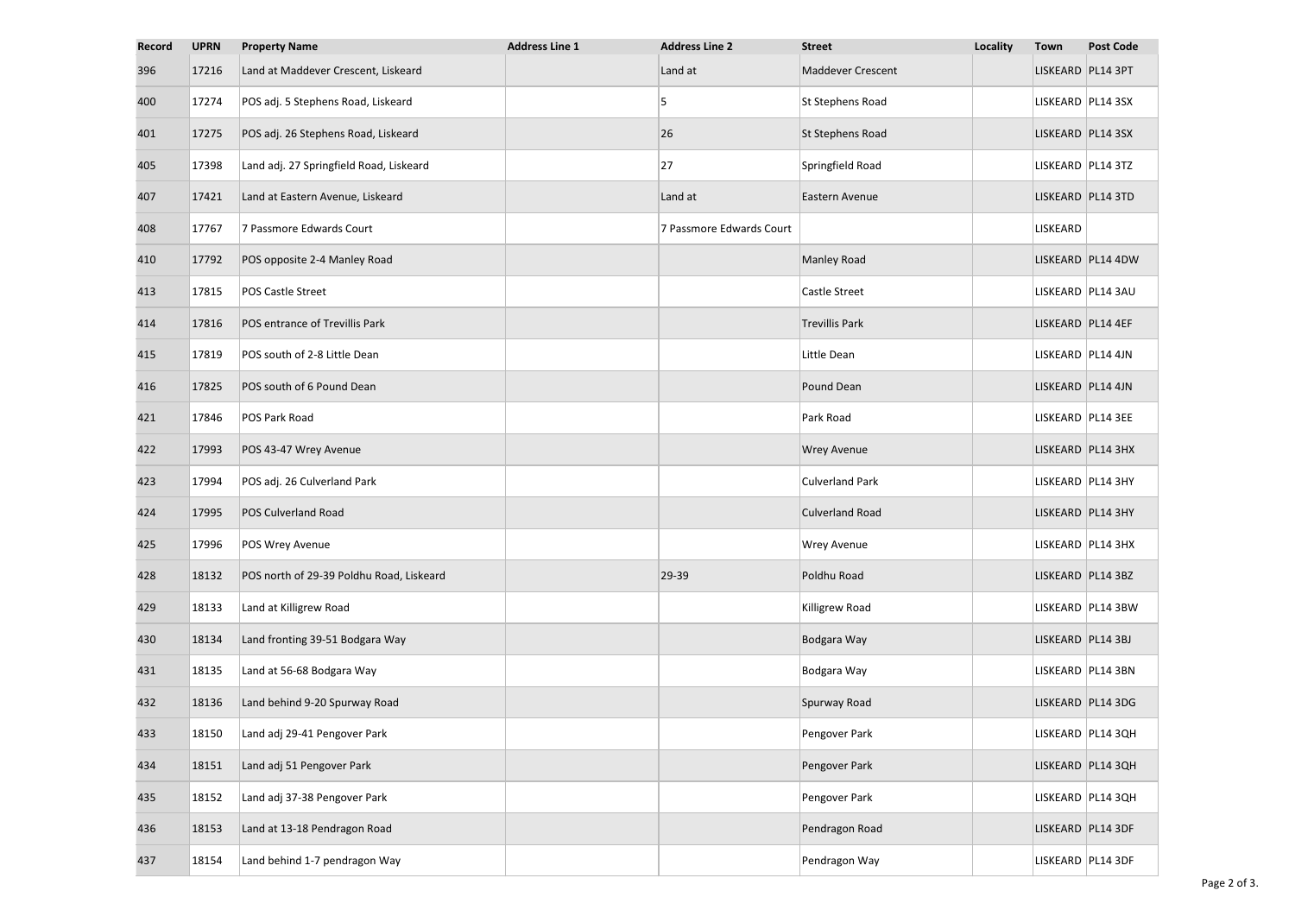| <b>Record</b> | <b>UPRN</b> | <b>Property Name</b>                     | <b>Address Line 1</b> | <b>Address Line 2</b>    | <b>Street</b>            | <b>Locality</b> | <b>Town</b>       | <b>Post Code</b>    |
|---------------|-------------|------------------------------------------|-----------------------|--------------------------|--------------------------|-----------------|-------------------|---------------------|
| 396           | 17216       | Land at Maddever Crescent, Liskeard      |                       | Land at                  | <b>Maddever Crescent</b> |                 | LISKEARD PL14 3PT |                     |
| 400           | 17274       | POS adj. 5 Stephens Road, Liskeard       |                       | 5                        | St Stephens Road         |                 | LISKEARD PL14 3SX |                     |
| 401           | 17275       | POS adj. 26 Stephens Road, Liskeard      |                       | 26                       | St Stephens Road         |                 | LISKEARD PL14 3SX |                     |
| 405           | 17398       | Land adj. 27 Springfield Road, Liskeard  |                       | 27                       | Springfield Road         |                 | LISKEARD PL14 3TZ |                     |
| 407           | 17421       | Land at Eastern Avenue, Liskeard         |                       | Land at                  | Eastern Avenue           |                 | LISKEARD PL14 3TD |                     |
| 408           | 17767       | 7 Passmore Edwards Court                 |                       | 7 Passmore Edwards Court |                          |                 | <b>LISKEARD</b>   |                     |
| 410           | 17792       | POS opposite 2-4 Manley Road             |                       |                          | <b>Manley Road</b>       |                 |                   | LISKEARD PL14 4DW   |
| 413           | 17815       | POS Castle Street                        |                       |                          | Castle Street            |                 |                   | LISKEARD PL14 3AU   |
| 414           | 17816       | POS entrance of Trevillis Park           |                       |                          | <b>Trevillis Park</b>    |                 | LISKEARD PL14 4EF |                     |
| 415           | 17819       | POS south of 2-8 Little Dean             |                       |                          | Little Dean              |                 | LISKEARD PL14 4JN |                     |
| 416           | 17825       | POS south of 6 Pound Dean                |                       |                          | Pound Dean               |                 | LISKEARD PL14 4JN |                     |
| 421           | 17846       | POS Park Road                            |                       |                          | Park Road                |                 | LISKEARD PL14 3EE |                     |
| 422           | 17993       | POS 43-47 Wrey Avenue                    |                       |                          | <b>Wrey Avenue</b>       |                 |                   | LISKEARD PL14 3HX   |
| 423           | 17994       | POS adj. 26 Culverland Park              |                       |                          | <b>Culverland Park</b>   |                 |                   | LISKEARD   PL14 3HY |
| 424           | 17995       | <b>POS Culverland Road</b>               |                       |                          | <b>Culverland Road</b>   |                 | LISKEARD PL14 3HY |                     |
| 425           | 17996       | POS Wrey Avenue                          |                       |                          | <b>Wrey Avenue</b>       |                 |                   | LISKEARD PL14 3HX   |
| 428           | 18132       | POS north of 29-39 Poldhu Road, Liskeard |                       | 29-39                    | Poldhu Road              |                 |                   | LISKEARD PL14 3BZ   |
| 429           | 18133       | Land at Killigrew Road                   |                       |                          | Killigrew Road           |                 |                   | LISKEARD PL14 3BW   |
| 430           | 18134       | Land fronting 39-51 Bodgara Way          |                       |                          | Bodgara Way              |                 | LISKEARD PL14 3BJ |                     |
| 431           | 18135       | Land at 56-68 Bodgara Way                |                       |                          | Bodgara Way              |                 |                   | LISKEARD PL14 3BN   |
| 432           | 18136       | Land behind 9-20 Spurway Road            |                       |                          | Spurway Road             |                 |                   | LISKEARD PL14 3DG   |
| 433           | 18150       | Land adj 29-41 Pengover Park             |                       |                          | Pengover Park            |                 |                   | LISKEARD PL14 3QH   |
| 434           | 18151       | Land adj 51 Pengover Park                |                       |                          | Pengover Park            |                 |                   | LISKEARD PL14 3QH   |
| 435           | 18152       | Land adj 37-38 Pengover Park             |                       |                          | Pengover Park            |                 |                   | LISKEARD PL14 3QH   |
| 436           | 18153       | Land at 13-18 Pendragon Road             |                       |                          | Pendragon Road           |                 |                   | LISKEARD PL14 3DF   |
| 437           | 18154       | Land behind 1-7 pendragon Way            |                       |                          | Pendragon Way            |                 |                   | LISKEARD PL14 3DF   |